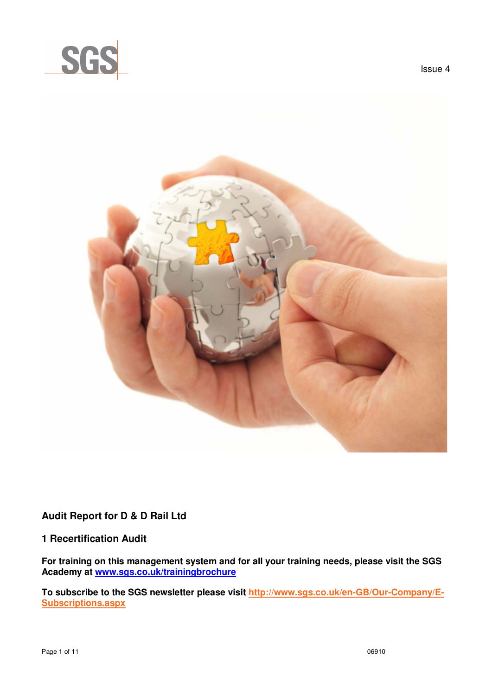



**Audit Report for D & D Rail Ltd** 

## **1 Recertification Audit**

**For training on this management system and for all your training needs, please visit the SGS Academy at www.sgs.co.uk/trainingbrochure**

**To subscribe to the SGS newsletter please visit http://www.sgs.co.uk/en-GB/Our-Company/E-Subscriptions.aspx**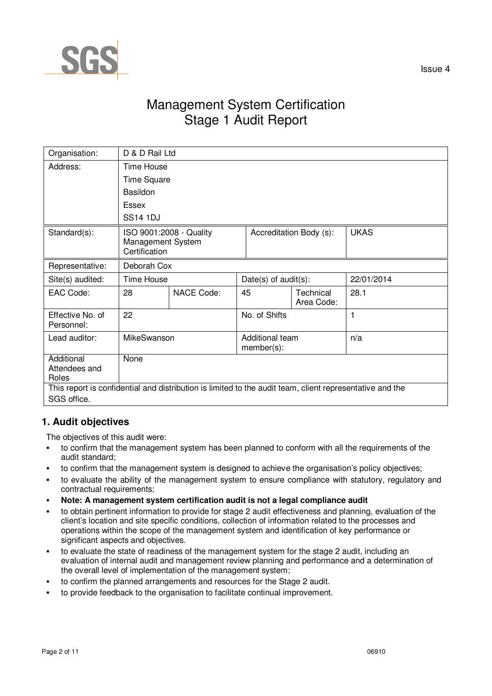

# Management System Certification Stage 1 Audit Report

| Organisation:                                                                                            | D & D Rail Ltd                                                                           |                    |  |                         |                         |            |  |  |
|----------------------------------------------------------------------------------------------------------|------------------------------------------------------------------------------------------|--------------------|--|-------------------------|-------------------------|------------|--|--|
| Address:                                                                                                 | <b>Time House</b>                                                                        |                    |  |                         |                         |            |  |  |
|                                                                                                          |                                                                                          | <b>Time Square</b> |  |                         |                         |            |  |  |
|                                                                                                          | <b>Basildon</b>                                                                          |                    |  |                         |                         |            |  |  |
|                                                                                                          | Essex                                                                                    |                    |  |                         |                         |            |  |  |
|                                                                                                          | <b>SS14 1DJ</b>                                                                          |                    |  |                         |                         |            |  |  |
| Standard(s):                                                                                             | ISO 9001:2008 - Quality<br>Accreditation Body (s):<br>Management System<br>Certification |                    |  |                         | <b>UKAS</b>             |            |  |  |
| Representative:                                                                                          | Deborah Cox                                                                              |                    |  |                         |                         |            |  |  |
| Site(s) audited:                                                                                         | <b>Time House</b>                                                                        |                    |  | Date(s) of $audit(s)$ : |                         | 22/01/2014 |  |  |
| EAC Code:                                                                                                | 28                                                                                       | <b>NACE Code:</b>  |  | 45                      | Technical<br>Area Code: | 28.1       |  |  |
| Effective No. of<br>Personnel:                                                                           | 22                                                                                       |                    |  | No. of Shifts           |                         | 1          |  |  |
| Lead auditor:                                                                                            | MikeSwanson<br>Additional team<br>member(s):                                             |                    |  |                         | n/a                     |            |  |  |
| Additional<br>Attendees and<br>Roles                                                                     | None                                                                                     |                    |  |                         |                         |            |  |  |
| This report is confidential and distribution is limited to the audit team, client representative and the |                                                                                          |                    |  |                         |                         |            |  |  |
| SGS office.                                                                                              |                                                                                          |                    |  |                         |                         |            |  |  |

#### **1. Audit objectives**

The objectives of this audit were:

- to confirm that the management system has been planned to conform with all the requirements of the audit standard;
- to confirm that the management system is designed to achieve the organisation's policy objectives;
- to evaluate the ability of the management system to ensure compliance with statutory, regulatory and contractual requirements;
- **Note: A management system certification audit is not a legal compliance audit**
- to obtain pertinent information to provide for stage 2 audit effectiveness and planning, evaluation of the client's location and site specific conditions, collection of information related to the processes and operations within the scope of the management system and identification of key performance or significant aspects and objectives.
- to evaluate the state of readiness of the management system for the stage 2 audit, including an evaluation of internal audit and management review planning and performance and a determination of the overall level of implementation of the management system;
- to confirm the planned arrangements and resources for the Stage 2 audit.
- to provide feedback to the organisation to facilitate continual improvement.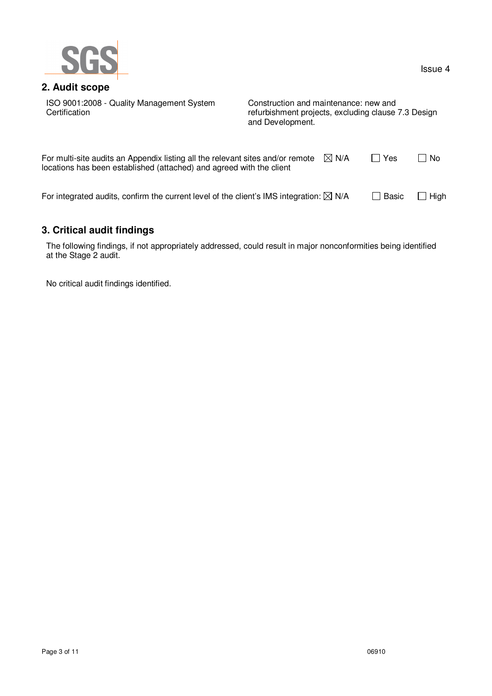

# **2. Audit scope**

ISO 9001:2008 - Quality Management System **Certification** 

Construction and maintenance: new and refurbishment projects, excluding clause 7.3 Design and Development.

| For multi-site audits an Appendix listing all the relevant sites and/or remote $\Box$ N/A<br>locations has been established (attached) and agreed with the client | l I Yes      | ∣ No        |
|-------------------------------------------------------------------------------------------------------------------------------------------------------------------|--------------|-------------|
| For integrated audits, confirm the current level of the client's IMS integration: $\boxtimes$ N/A                                                                 | $\Box$ Basic | $\Box$ High |

#### **3. Critical audit findings**

The following findings, if not appropriately addressed, could result in major nonconformities being identified at the Stage 2 audit.

No critical audit findings identified.

Issue 4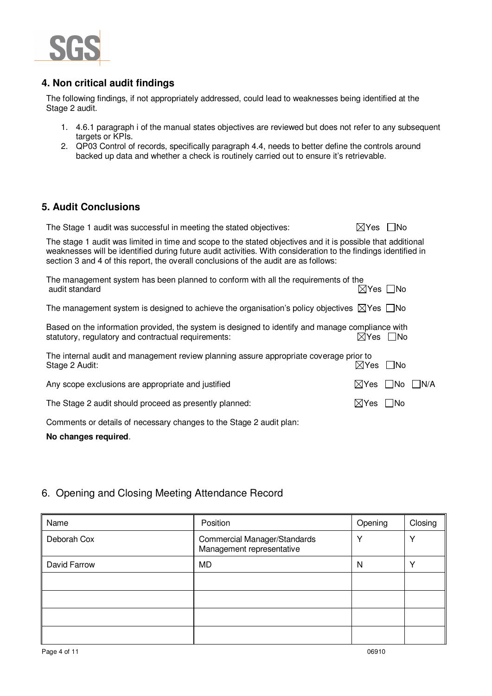

# **4. Non critical audit findings**

The following findings, if not appropriately addressed, could lead to weaknesses being identified at the Stage 2 audit.

- 1. 4.6.1 paragraph i of the manual states objectives are reviewed but does not refer to any subsequent targets or KPIs.
- 2. QP03 Control of records, specifically paragraph 4.4, needs to better define the controls around backed up data and whether a check is routinely carried out to ensure it's retrievable.

### **5. Audit Conclusions**

| The Stage 1 audit was successful in meeting the stated objectives: | $\boxtimes$ Yes $\Box$ No |
|--------------------------------------------------------------------|---------------------------|
|--------------------------------------------------------------------|---------------------------|

The stage 1 audit was limited in time and scope to the stated objectives and it is possible that additional weaknesses will be identified during future audit activities. With consideration to the findings identified in section 3 and 4 of this report, the overall conclusions of the audit are as follows:

| The management system has been planned to conform with all the requirements of the<br>audit standard                                                    | $\boxtimes$ Yes $\Box$ No |                           |                            |
|---------------------------------------------------------------------------------------------------------------------------------------------------------|---------------------------|---------------------------|----------------------------|
| The management system is designed to achieve the organisation's policy objectives $\Box$ Yes $\Box$ No                                                  |                           |                           |                            |
| Based on the information provided, the system is designed to identify and manage compliance with<br>statutory, regulatory and contractual requirements: |                           | $\boxtimes$ Yes $\Box$ No |                            |
| The internal audit and management review planning assure appropriate coverage prior to<br>Stage 2 Audit:                                                | $\boxtimes$ Yes $\Box$ No |                           |                            |
| Any scope exclusions are appropriate and justified                                                                                                      | ⊠Yes                      | l INo                     | $\overline{\mathsf{N}}$ /A |
| The Stage 2 audit should proceed as presently planned:                                                                                                  | $\boxtimes$ Yes           | $\Box$ No                 |                            |
| Comments or details of necessary changes to the Stage 2 audit plan:                                                                                     |                           |                           |                            |

**No changes required**.

# 6. Opening and Closing Meeting Attendance Record

| Name         | Position                                                  | Opening | Closing      |
|--------------|-----------------------------------------------------------|---------|--------------|
| Deborah Cox  | Commercial Manager/Standards<br>Management representative | v       | Υ            |
| David Farrow | MD                                                        | N       | $\checkmark$ |
|              |                                                           |         |              |
|              |                                                           |         |              |
|              |                                                           |         |              |
|              |                                                           |         |              |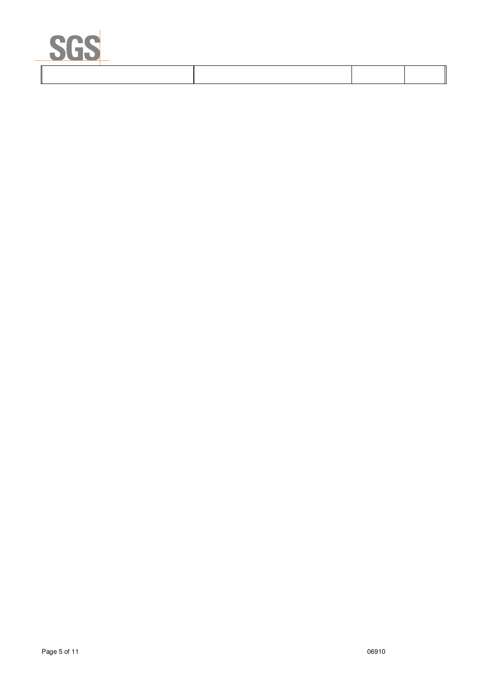| SGS |  |  |
|-----|--|--|
|     |  |  |

 $\frac{1}{1}$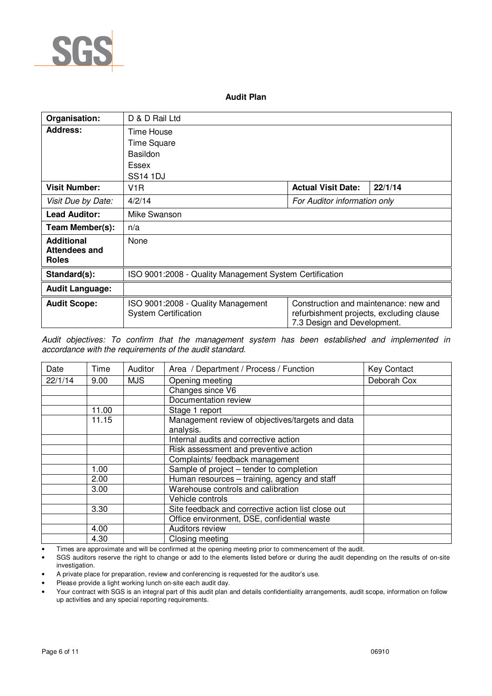

#### **Audit Plan**

| Organisation:                             | D & D Rail Ltd                                                    |                                                                                                                  |         |
|-------------------------------------------|-------------------------------------------------------------------|------------------------------------------------------------------------------------------------------------------|---------|
| <b>Address:</b>                           | Time House                                                        |                                                                                                                  |         |
|                                           | <b>Time Square</b>                                                |                                                                                                                  |         |
|                                           | Basildon                                                          |                                                                                                                  |         |
|                                           | Essex                                                             |                                                                                                                  |         |
|                                           | <b>SS14 1DJ</b>                                                   |                                                                                                                  |         |
| <b>Visit Number:</b>                      | V1R                                                               | <b>Actual Visit Date:</b>                                                                                        | 22/1/14 |
| Visit Due by Date:                        | 4/2/14                                                            | For Auditor information only                                                                                     |         |
| <b>Lead Auditor:</b>                      | Mike Swanson                                                      |                                                                                                                  |         |
| Team Member(s):                           | n/a                                                               |                                                                                                                  |         |
| <b>Additional</b><br><b>Attendees and</b> | None                                                              |                                                                                                                  |         |
| <b>Roles</b>                              |                                                                   |                                                                                                                  |         |
| Standard(s):                              | ISO 9001:2008 - Quality Management System Certification           |                                                                                                                  |         |
| <b>Audit Language:</b>                    |                                                                   |                                                                                                                  |         |
| <b>Audit Scope:</b>                       | ISO 9001:2008 - Quality Management<br><b>System Certification</b> | Construction and maintenance: new and<br>refurbishment projects, excluding clause<br>7.3 Design and Development. |         |

*Audit objectives: To confirm that the management system has been established and implemented in accordance with the requirements of the audit standard.* 

| Date    | Time  | Auditor    | Area / Department / Process / Function             | <b>Key Contact</b> |
|---------|-------|------------|----------------------------------------------------|--------------------|
| 22/1/14 | 9.00  | <b>MJS</b> | Opening meeting                                    | Deborah Cox        |
|         |       |            | Changes since V6                                   |                    |
|         |       |            | Documentation review                               |                    |
|         | 11.00 |            | Stage 1 report                                     |                    |
|         | 11.15 |            | Management review of objectives/targets and data   |                    |
|         |       |            | analysis.                                          |                    |
|         |       |            | Internal audits and corrective action              |                    |
|         |       |            | Risk assessment and preventive action              |                    |
|         |       |            | Complaints/ feedback management                    |                    |
|         | 1.00  |            | Sample of project - tender to completion           |                    |
|         | 2.00  |            | Human resources - training, agency and staff       |                    |
|         | 3.00  |            | Warehouse controls and calibration                 |                    |
|         |       |            | Vehicle controls                                   |                    |
|         | 3.30  |            | Site feedback and corrective action list close out |                    |
|         |       |            | Office environment, DSE, confidential waste        |                    |
|         | 4.00  |            | Auditors review                                    |                    |
|         | 4.30  |            | Closing meeting                                    |                    |

• Times are approximate and will be confirmed at the opening meeting prior to commencement of the audit.

• SGS auditors reserve the right to change or add to the elements listed before or during the audit depending on the results of on-site investigation.

• A private place for preparation, review and conferencing is requested for the auditor's use.

Please provide a light working lunch on-site each audit day.

• Your contract with SGS is an integral part of this audit plan and details confidentiality arrangements, audit scope, information on follow up activities and any special reporting requirements.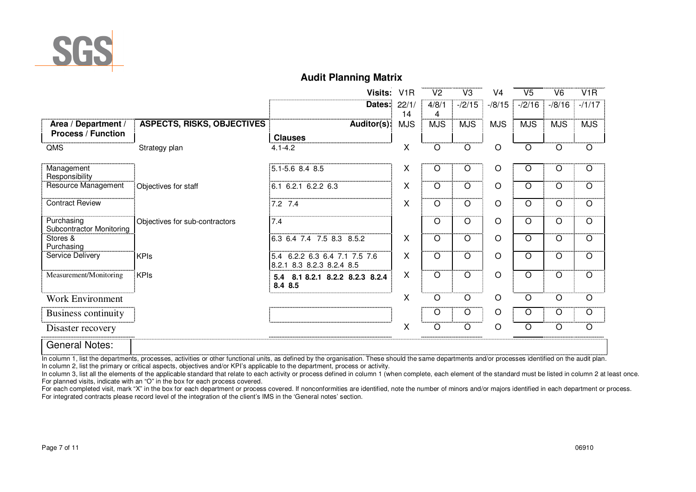

#### **Audit Planning Matrix**

|                                                  |                                   | <b>Visits:</b>                                             | V <sub>1</sub> R        | V <sub>2</sub> | V <sub>3</sub> | V <sub>4</sub>           | V <sub>5</sub> | V <sub>6</sub> | V <sub>1</sub> R |
|--------------------------------------------------|-----------------------------------|------------------------------------------------------------|-------------------------|----------------|----------------|--------------------------|----------------|----------------|------------------|
|                                                  |                                   | <b>Dates: 22/1/</b>                                        | 14                      | 4/8/1<br>4     | $-2/15$        | $-18/15$                 | $-2/16$        | $-/8/16$       | $-1/17$          |
| Area / Department /<br><b>Process / Function</b> | <b>ASPECTS, RISKS, OBJECTIVES</b> | Auditor(s):<br><b>Clauses</b>                              | <b>MJS</b>              | <b>MJS</b>     | <b>MJS</b>     | <b>MJS</b>               | <b>MJS</b>     | <b>MJS</b>     | <b>MJS</b>       |
| <b>QMS</b>                                       | Strategy plan                     | $4.1 - 4.2$                                                | X                       | $\circ$        | O              | $\circ$                  | $\circ$        | $\circ$        | $\circ$          |
| Management<br>Responsibility                     |                                   | 5.1-5.6 8.4 8.5                                            | X                       | $\circ$        | $\circ$        | $\circ$                  | $\circ$        | $\circ$        | $\circ$          |
| Resource Management                              | Objectives for staff              | 6.1 6.2.1 6.2.2 6.3                                        | $\overline{\mathsf{x}}$ | $\circ$        | $\circ$        | $\circ$                  | $\circ$        | $\circ$        | $\circ$          |
| <b>Contract Review</b>                           |                                   | $7.2$ $7.4$                                                | monum<br>X              | O              | $\circ$        | $\circ$                  | $\circ$        | $\Omega$       | $\Omega$         |
| Purchasing<br>Subcontractor Monitoring           | Objectives for sub-contractors    | 7.4                                                        |                         | $\circ$        | $\circ$        | $\circ$                  | $\circ$        | $\circ$        | $\circ$          |
| Stores &<br>Purchasing                           |                                   | 6.3 6.4 7.4 7.5 8.3 8.5.2                                  | X                       | $\circ$        | $\Omega$       | $\Omega$                 | $\Omega$       | $\Omega$       | $\circ$          |
| Service Delivery                                 | <b>KPIs</b>                       | 5.4 6.2.2 6.3 6.4 7.1 7.5 7.6<br>8.2.1 8.3 8.2.3 8.2.4 8.5 | X                       | $\circ$        | $\circ$        | $\circ$<br>umu u         | $\circ$        | $\circ$        | $\circ$          |
| Measurement/Monitoring                           | <b>KPIs</b>                       | 5.4 8.1 8.2.1 8.2.2 8.2.3 8.2.4<br>8.4 8.5                 | $\overline{\mathsf{x}}$ | $\circ$        | $\circ$        | $\circ$                  | $\circ$        | $\circ$        | $\circ$          |
| <b>Work Environment</b>                          |                                   |                                                            | X                       | $\circ$        | $\circ$        | $\circ$                  | $\circ$        | $\circ$        | $\circ$          |
| Business continuity                              |                                   |                                                            |                         | O              | O              | <b>DOMENT</b><br>$\circ$ | $\circ$        | <br>$\circ$    | O                |
| Disaster recovery                                |                                   |                                                            | X                       | O              | O              | $\circ$                  | $\circ$        | $\circ$        | $\circ$          |
| <b>General Notes:</b>                            |                                   |                                                            |                         |                |                |                          |                |                |                  |

 In column 1, list the departments, processes, activities or other functional units, as defined by the organisation. These should the same departments and/or processes identified on the audit plan. In column 2, list the primary or critical aspects, objectives and/or KPI's applicable to the department, process or activity.

In column 3, list all the elements of the applicable standard that relate to each activity or process defined in column 1 (when complete, each element of the standard must be listed in column 2 at least once. For planned visits, indicate with an "O" in the box for each process covered.

For each completed visit, mark "X" in the box for each department or process covered. If nonconformities are identified, note the number of minors and/or majors identified in each department or process. For integrated contracts please record level of the integration of the client's IMS in the 'General notes' section.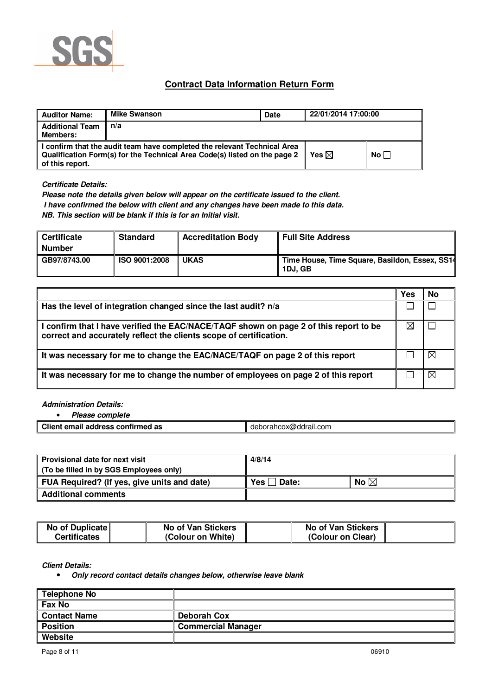

### **Contract Data Information Return Form**

| <b>Auditor Name:</b>                      | <b>Mike Swanson</b>                                                                                                                                   | <b>Date</b> | 22/01/2014 17:00:00 |           |  |
|-------------------------------------------|-------------------------------------------------------------------------------------------------------------------------------------------------------|-------------|---------------------|-----------|--|
| <b>Additional Team</b><br><b>Members:</b> | n/a                                                                                                                                                   |             |                     |           |  |
| of this report.                           | I confirm that the audit team have completed the relevant Technical Area<br>Qualification Form(s) for the Technical Area Code(s) listed on the page 2 |             | Yes $\boxtimes$     | No $\Box$ |  |

*Certificate Details:* 

*Please note the details given below will appear on the certificate issued to the client. I have confirmed the below with client and any changes have been made to this data.* 

*NB. This section will be blank if this is for an Initial visit.* 

| <b>Certificate</b><br><b>Number</b> | <b>Standard</b>       | <b>Accreditation Body</b> | Full Site Address                                         |
|-------------------------------------|-----------------------|---------------------------|-----------------------------------------------------------|
| GB97/8743.00                        | <b>IISO 9001:2008</b> | <b>UKAS</b>               | Time House, Time Square, Basildon, Essex, SS14<br>1DJ. GB |

|                                                                                                                                                             | Yes | No          |
|-------------------------------------------------------------------------------------------------------------------------------------------------------------|-----|-------------|
| Has the level of integration changed since the last audit? n/a                                                                                              |     |             |
| I confirm that I have verified the EAC/NACE/TAQF shown on page 2 of this report to be<br>correct and accurately reflect the clients scope of certification. |     |             |
| It was necessary for me to change the EAC/NACE/TAQF on page 2 of this report                                                                                |     | $\boxtimes$ |
| $\parallel$ It was necessary for me to change the number of employees on page 2 of this report                                                              |     | M           |

*Administration Details:* 

• *Please complete* 

| Client email address confirmed as | ox@ddrail.com<br>$-$ ---hoov(a)daro $\cdots$<br>−∪∪idil∪J |
|-----------------------------------|-----------------------------------------------------------|
|                                   |                                                           |

| <b>Provisional date for next visit</b>      | 4/8/14                  |                |
|---------------------------------------------|-------------------------|----------------|
| (To be filled in by SGS Employees only)     |                         |                |
| FUA Required? (If yes, give units and date) | Yes $\sqcap$<br>□ Date: | No $\boxtimes$ |
| <b>Additional comments</b>                  |                         |                |

| No of Duplicate | No of Van Stickers | No of Van Stickers |  |
|-----------------|--------------------|--------------------|--|
| Certificates    | (Colour on White)  | (Colour on Clear)  |  |

*Client Details:* 

• *Only record contact details changes below, otherwise leave blank*

| Telephone No        |                           |
|---------------------|---------------------------|
| <b>Fax No</b>       |                           |
| <b>Contact Name</b> | <b>Deborah Cox</b>        |
| <b>Position</b>     | <b>Commercial Manager</b> |
| Website             |                           |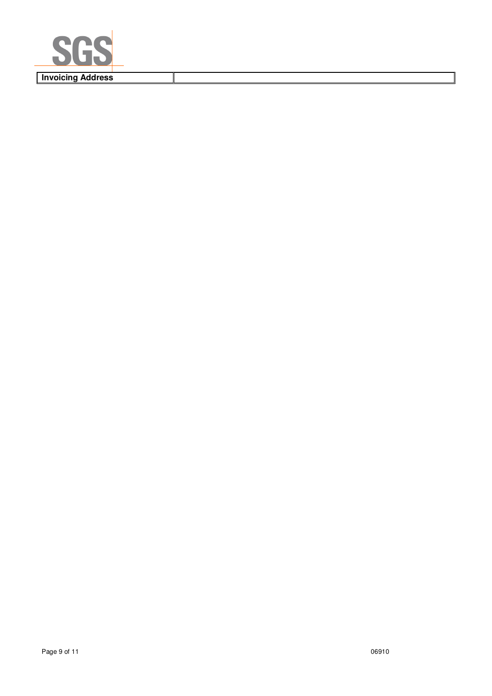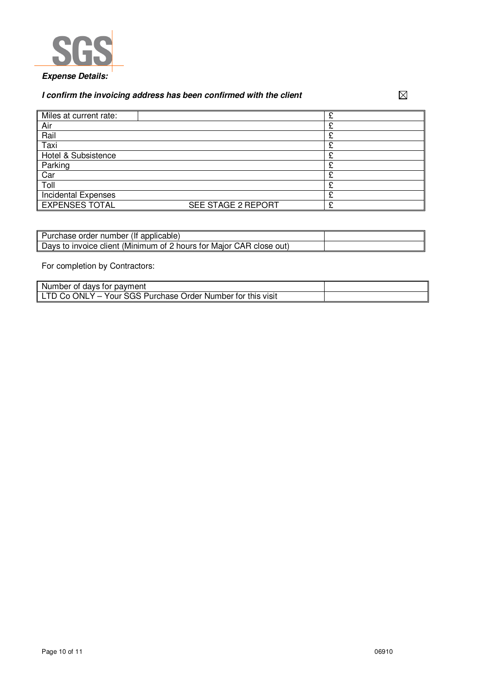

### *I confirm the invoicing address has been confirmed with the client*

| Miles at current rate:     |                    |   |
|----------------------------|--------------------|---|
| Air                        |                    | £ |
| Rail                       |                    | £ |
| Taxi                       |                    | ç |
| Hotel & Subsistence        |                    |   |
| Parking                    |                    | £ |
| Car                        |                    | £ |
| Toll                       |                    |   |
| <b>Incidental Expenses</b> |                    | £ |
| <b>EXPENSES TOTAL</b>      | SEE STAGE 2 REPORT | £ |

| Purchase order number (If applicable)                               |  |
|---------------------------------------------------------------------|--|
| Days to invoice client (Minimum of 2 hours for Major CAR close out) |  |

For completion by Contractors:

| Number of days for payment                                              |  |
|-------------------------------------------------------------------------|--|
| - Your SGS Purchase Order Number for this visit<br>$ONLY -$<br>LTD Co C |  |